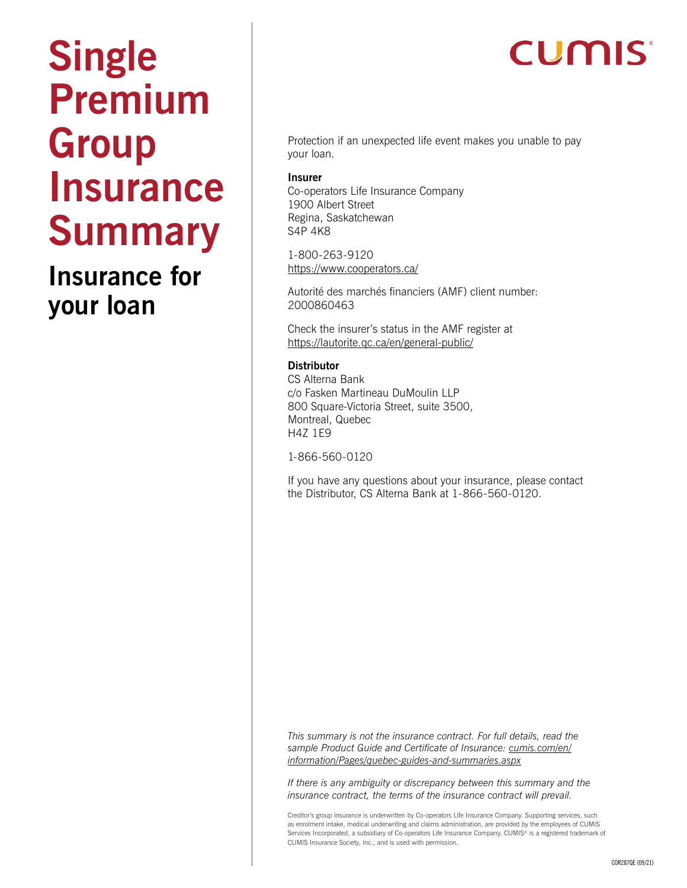# **Single Premium Group Insurance Summary**

### **Insurance for your loan**

## **CUMIS**

Protection if an unexpected life event makes you unable to pay your loan.

#### **Insurer**

Co-operators Life Insurance Company 1900 Albert Street Regina, Saskatchewan S4P 4K8

1-800-263-9120 <https://www.cooperators.ca/>

Autorité des marchés financiers (AMF) client number: 2000860463

Check the insurer's status in the AMF register at <https://lautorite.qc.ca/en/general-public/>

#### **Distributor**

CS Alterna Bank c/o Fasken Martineau DuMoulin LLP 800 Square-Victoria Street, suite 3500, Montreal, Quebec H4Z 1E9

1-866-560-0120

If you have any questions about your insurance, please contact the Distributor, CS Alterna Bank at 1-866-560-0120.

*This summary is not the insurance contract. For full details, read the sample Product Guide and Certificate of Insurance: [cumis.com/en/](http://cumis.com/en/information/Pages/quebec-guides-and-summaries.aspx) [information/Pages/quebec-guides-and-summaries.aspx](http://cumis.com/en/information/Pages/quebec-guides-and-summaries.aspx)*

*If there is any ambiguity or discrepancy between this summary and the insurance contract, the terms of the insurance contract will prevail.*

Creditor's group insurance is underwritten by Co-operators Life Insurance Company. Supporting services, such as enrolment intake, medical underwriting and claims administration, are provided by the employees of CUMIS Services Incorporated, a subsidiary of Co-operators Life Insurance Company. CUMIS® is a registered trademark of CUMIS Insurance Society, Inc., and is used with permission.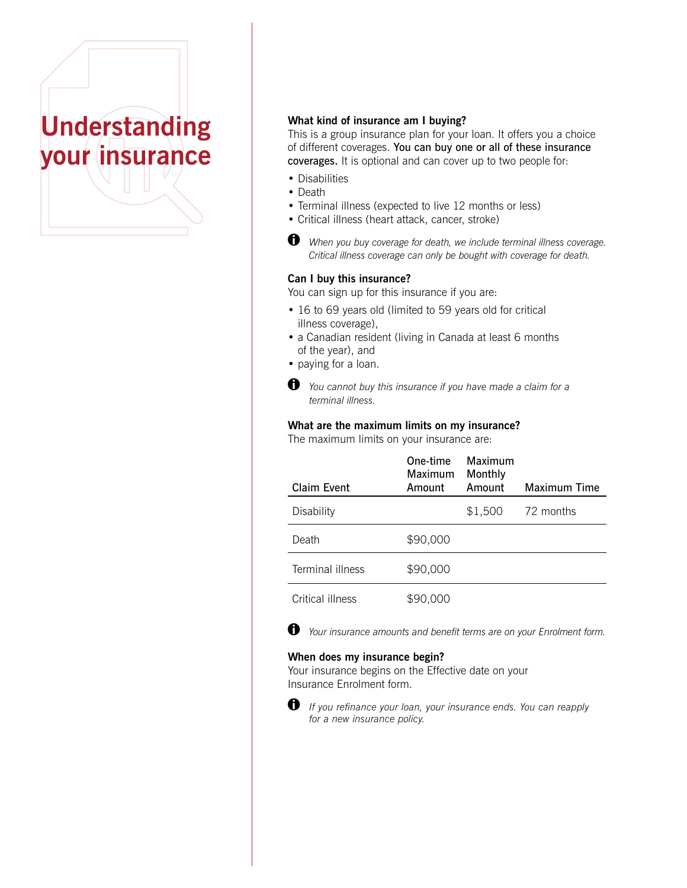

#### **What kind of insurance am I buying?**

This is a group insurance plan for your loan. It offers you a choice of different coverages. You can buy one or all of these insurance coverages. It is optional and can cover up to two people for:

- Disabilities
- Death
- Terminal illness (expected to live 12 months or less)
- Critical illness (heart attack, cancer, stroke)
- *When you buy coverage for death, we include terminal illness coverage. Critical illness coverage can only be bought with coverage for death.*

#### **Can I buy this insurance?**

You can sign up for this insurance if you are:

- 16 to 69 years old (limited to 59 years old for critical illness coverage),
- a Canadian resident (living in Canada at least 6 months of the year), and
- paying for a loan.
- *You cannot buy this insurance if you have made a claim for a*  terminal illness.

#### **What are the maximum limits on my insurance?**

The maximum limits on your insurance are:

| Claim Event      | One-time<br>Maximum | Maximum<br>Monthly<br>Amount |                     |
|------------------|---------------------|------------------------------|---------------------|
|                  | Amount              |                              | <b>Maximum Time</b> |
| Disability       |                     | \$1,500                      | 72 months           |
| Death            | \$90,000            |                              |                     |
| Terminal illness | \$90,000            |                              |                     |
| Critical illness | \$90,000            |                              |                     |



 *Your insurance amounts and benefit terms are on your Enrolment form.*

#### **When does my insurance begin?**

Your insurance begins on the Effective date on your Insurance Enrolment form.



 *If you refinance your loan, your insurance ends. You can reapply*for a new insurance policy.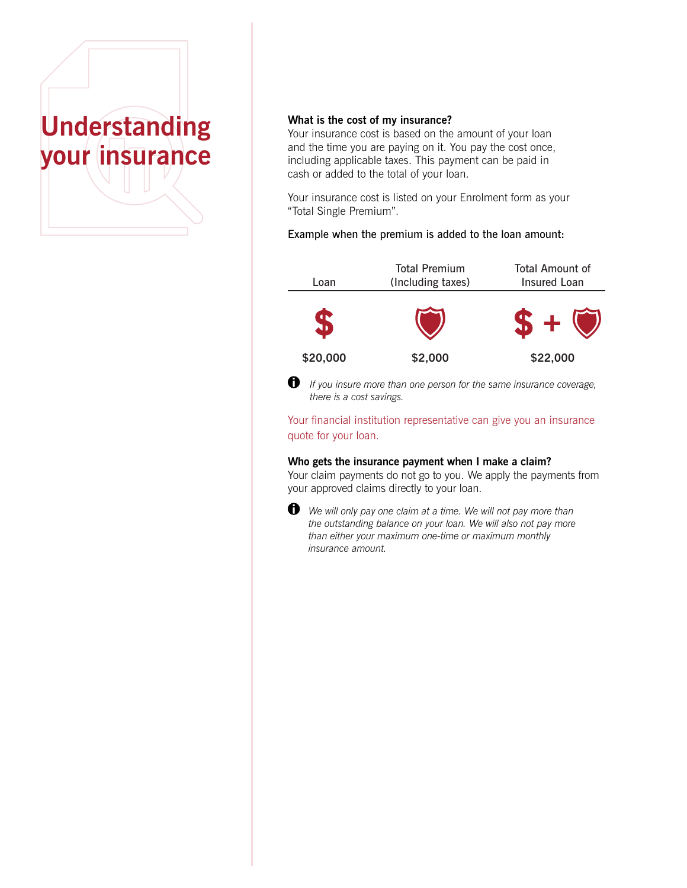

#### **What is the cost of my insurance?**

Your insurance cost is based on the amount of your loan and the time you are paying on it. You pay the cost once, including applicable taxes. This payment can be paid in cash or added to the total of your loan.

Your insurance cost is listed on your Enrolment form as your "Total Single Premium".

#### Example when the premium is added to the loan amount:





 *If you insure more than one person for the same insurance coverage, there is a cost savings.*

Your financial institution representative can give you an insurance quote for your loan.

#### **Who gets the insurance payment when I make a claim?**

Your claim payments do not go to you. We apply the payments from your approved claims directly to your loan.



 $\bigoplus$  We will only pay one claim at a time. We will not pay more than *the outstanding balance on your loan. We will also not pay more than either your maximum one-time or maximum monthly insurance amount.*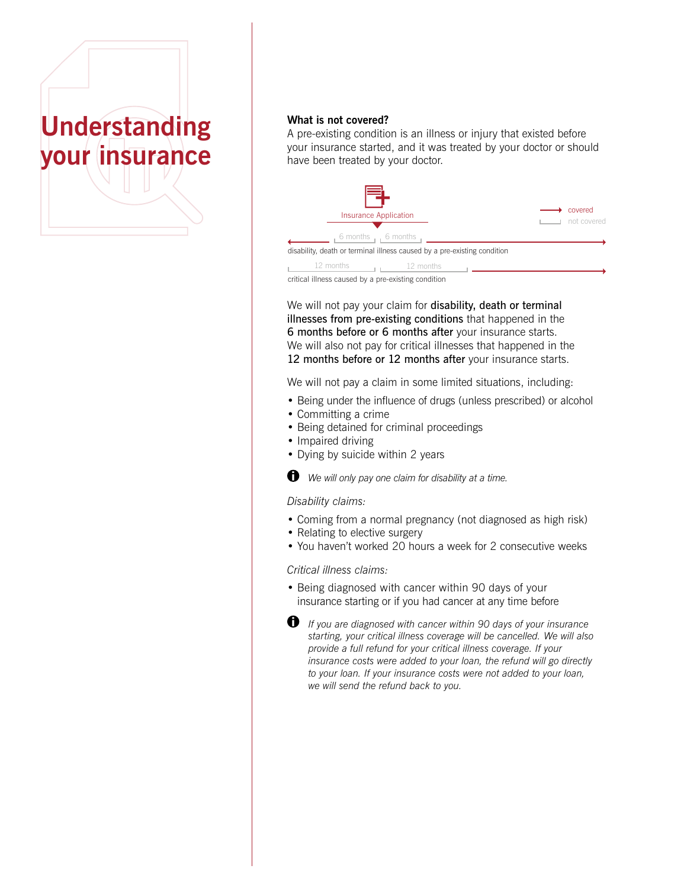

#### **What is not covered?**

A pre-existing condition is an illness or injury that existed before your insurance started, and it was treated by your doctor or should have been treated by your doctor.



critical illness caused by a pre-existing condition

We will not pay your claim for disability, death or terminal illnesses from pre-existing conditions that happened in the 6 months before or 6 months after your insurance starts. We will also not pay for critical illnesses that happened in the 12 months before or 12 months after your insurance starts.

We will not pay a claim in some limited situations, including:

- Being under the influence of drugs (unless prescribed) or alcohol
- Committing a crime
- Being detained for criminal proceedings
- Impaired driving
- Dying by suicide within 2 years

 *We will only pay one claim for disability at a time.*

#### *Disability claims:*

- Coming from a normal pregnancy (not diagnosed as high risk)
- Relating to elective surgery
- You haven't worked 20 hours a week for 2 consecutive weeks

#### *Critical illness claims:*

- Being diagnosed with cancer within 90 days of your insurance starting or if you had cancer at any time before
- *If you are diagnosed with cancer within 90 days of your insurance starting, your critical illness coverage will be cancelled. We will also provide a full refund for your critical illness coverage. If your insurance costs were added to your loan, the refund will go directly to your loan. If your insurance costs were not added to your loan, we will send the refund back to you.*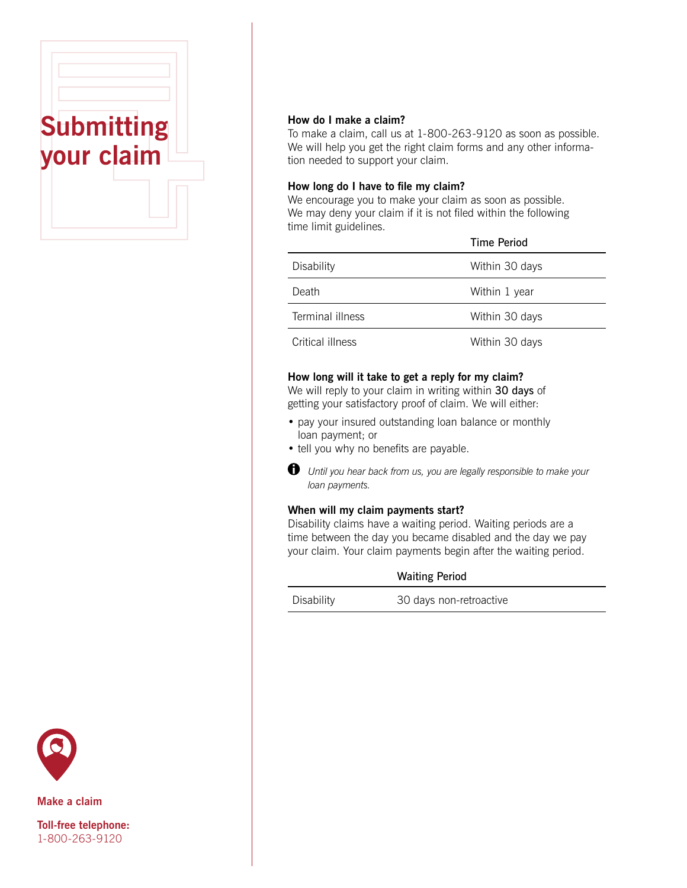

#### **How do I make a claim?**

To make a claim, call us at 1-800-263-9120 as soon as possible. We will help you get the right claim forms and any other information needed to support your claim.

#### **How long do I have to file my claim?**

We encourage you to make your claim as soon as possible. We may deny your claim if it is not filed within the following time limit guidelines.

|                  | <b>Time Period</b> |
|------------------|--------------------|
| Disability       | Within 30 days     |
| Death            | Within 1 year      |
| Terminal illness | Within 30 days     |
| Critical illness | Within 30 days     |

#### **How long will it take to get a reply for my claim?**

We will reply to your claim in writing within 30 days of getting your satisfactory proof of claim. We will either:

- pay your insured outstanding loan balance or monthly loan payment; or
- tell you why no benefits are payable.



 *Until you hear back from us, you are legally responsible to make your loan payments.*

#### **When will my claim payments start?**

Disability claims have a waiting period. Waiting periods are a time between the day you became disabled and the day we pay your claim. Your claim payments begin after the waiting period.

| <b>Waiting Period</b> |  |
|-----------------------|--|
|-----------------------|--|

Disability 30 days non-retroactive



**Make a claim**

**Toll-free telephone:** 1-800-263-9120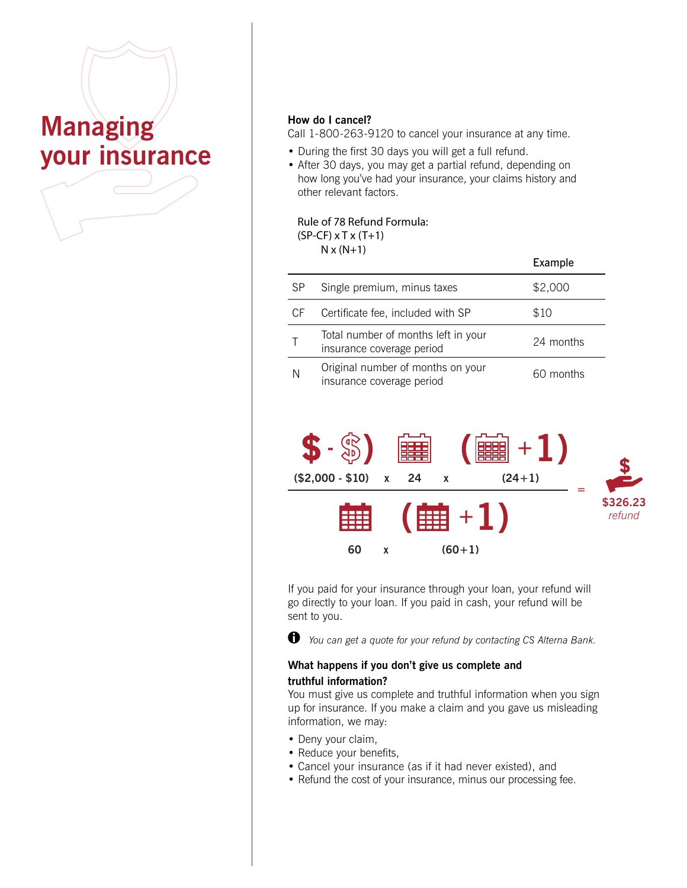## **Managing your insurance**

#### **How do I cancel?**

Call 1-800-263-9120 to cancel your insurance at any time.

- During the first 30 days you will get a full refund.
- After 30 days, you may get a partial refund, depending on how long you've had your insurance, your claims history and other relevant factors.

#### Rule of 78 Refund Formula:

(SP-CF) x T x (T+1)

 $N \times (N+1)$ 

|           |                                                                  | Example   |
|-----------|------------------------------------------------------------------|-----------|
| <b>SP</b> | Single premium, minus taxes                                      | \$2,000   |
| СF        | Certificate fee, included with SP                                | \$10      |
|           | Total number of months left in your<br>insurance coverage period | 24 months |
| N         | Original number of months on your<br>insurance coverage period   | 60 months |
|           |                                                                  |           |



If you paid for your insurance through your loan, your refund will go directly to your loan. If you paid in cash, your refund will be sent to you.



 *You can get a quote for your refund by contacting CS Alterna Bank.*

#### **What happens if you don't give us complete and truthful information?**

You must give us complete and truthful information when you sign up for insurance. If you make a claim and you gave us misleading information, we may:

- Deny your claim,
- Reduce your benefits,
- Cancel your insurance (as if it had never existed), and
- Refund the cost of your insurance, minus our processing fee.